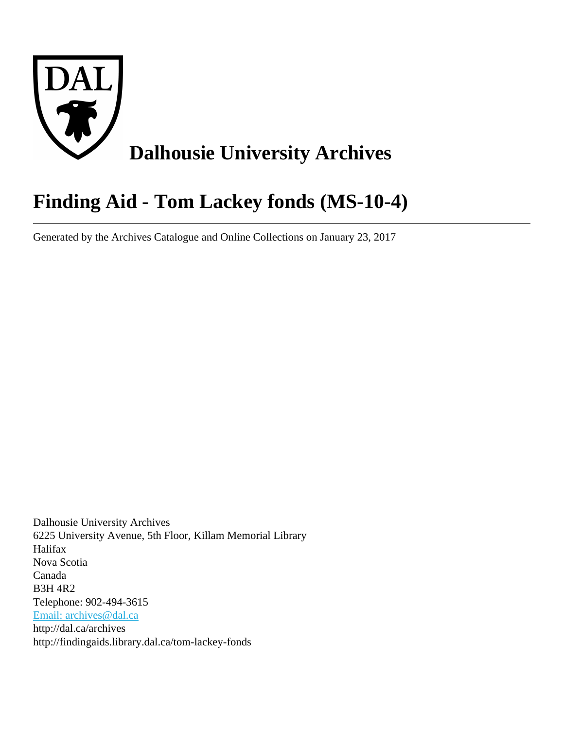

# **Finding Aid - Tom Lackey fonds (MS-10-4)**

Generated by the Archives Catalogue and Online Collections on January 23, 2017

Dalhousie University Archives 6225 University Avenue, 5th Floor, Killam Memorial Library Halifax Nova Scotia Canada B3H 4R2 Telephone: 902-494-3615 [Email: archives@dal.ca](mailto:Email: archives@dal.ca) http://dal.ca/archives http://findingaids.library.dal.ca/tom-lackey-fonds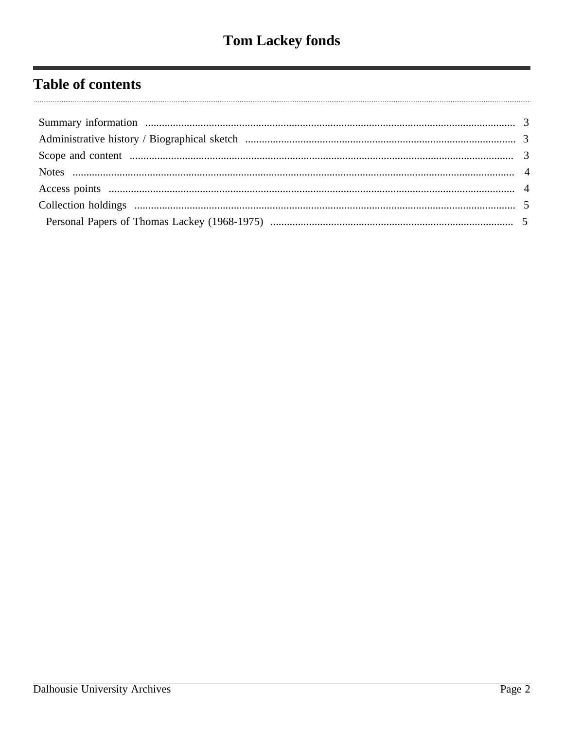# **Table of contents**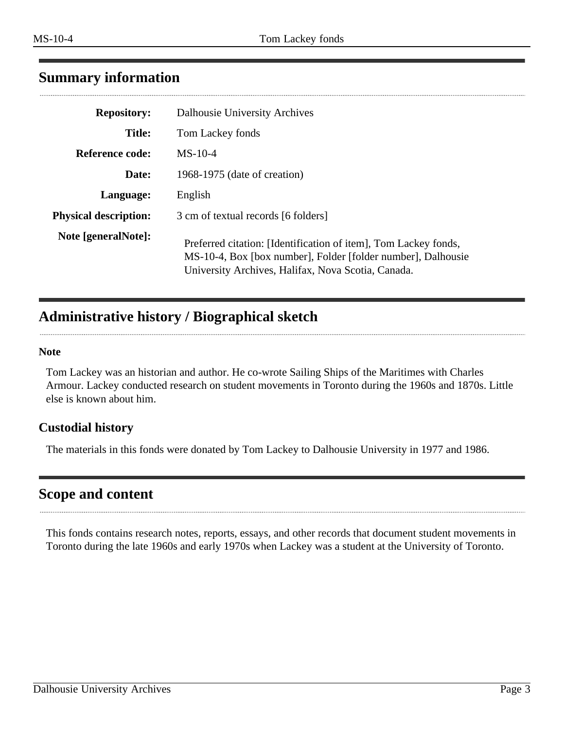# <span id="page-2-0"></span>**Summary information**

| Dalhousie University Archives                                                                                                                                                         |
|---------------------------------------------------------------------------------------------------------------------------------------------------------------------------------------|
| Tom Lackey fonds                                                                                                                                                                      |
| $MS-10-4$                                                                                                                                                                             |
| 1968-1975 (date of creation)                                                                                                                                                          |
| English                                                                                                                                                                               |
| 3 cm of textual records [6 folders]                                                                                                                                                   |
| Preferred citation: [Identification of item], Tom Lackey fonds,<br>MS-10-4, Box [box number], Folder [folder number], Dalhousie<br>University Archives, Halifax, Nova Scotia, Canada. |
|                                                                                                                                                                                       |

# <span id="page-2-1"></span>**Administrative history / Biographical sketch**

#### **Note**

Tom Lackey was an historian and author. He co-wrote Sailing Ships of the Maritimes with Charles Armour. Lackey conducted research on student movements in Toronto during the 1960s and 1870s. Little else is known about him.

#### **Custodial history**

The materials in this fonds were donated by Tom Lackey to Dalhousie University in 1977 and 1986.

# <span id="page-2-2"></span>**Scope and content**

This fonds contains research notes, reports, essays, and other records that document student movements in Toronto during the late 1960s and early 1970s when Lackey was a student at the University of Toronto.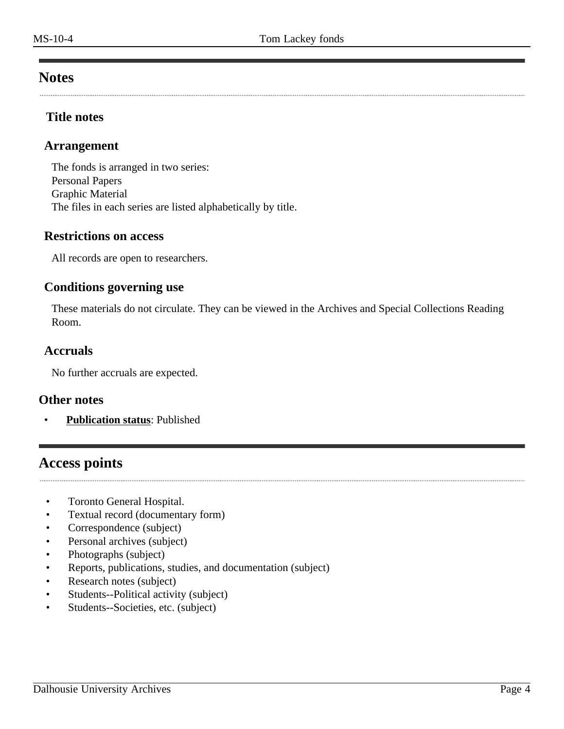# <span id="page-3-0"></span>**Notes**

#### **Title notes**

#### **Arrangement**

The fonds is arranged in two series: Personal Papers Graphic Material The files in each series are listed alphabetically by title.

#### **Restrictions on access**

All records are open to researchers.

#### **Conditions governing use**

These materials do not circulate. They can be viewed in the Archives and Special Collections Reading Room.

#### **Accruals**

No further accruals are expected.

#### **Other notes**

• **Publication status**: Published

# <span id="page-3-1"></span>**Access points**

- Toronto General Hospital.
- Textual record (documentary form)
- Correspondence (subject)
- Personal archives (subject)
- Photographs (subject)
- Reports, publications, studies, and documentation (subject)
- Research notes (subject)
- Students--Political activity (subject)
- Students--Societies, etc. (subject)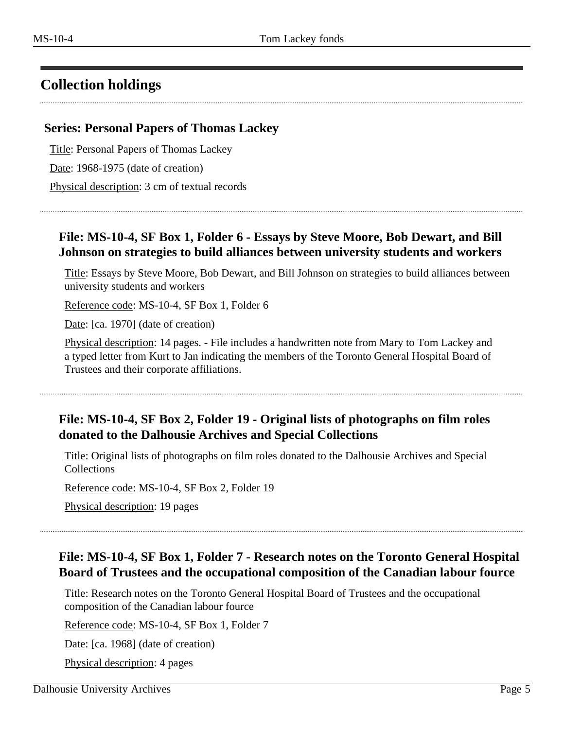# <span id="page-4-0"></span>**Collection holdings**

#### <span id="page-4-1"></span>**Series: Personal Papers of Thomas Lackey**

Title: Personal Papers of Thomas Lackey

Date: 1968-1975 (date of creation)

Physical description: 3 cm of textual records

# **File: MS-10-4, SF Box 1, Folder 6 - Essays by Steve Moore, Bob Dewart, and Bill Johnson on strategies to build alliances between university students and workers**

Title: Essays by Steve Moore, Bob Dewart, and Bill Johnson on strategies to build alliances between university students and workers

Reference code: MS-10-4, SF Box 1, Folder 6

Date: [ca. 1970] (date of creation)

Physical description: 14 pages. - File includes a handwritten note from Mary to Tom Lackey and a typed letter from Kurt to Jan indicating the members of the Toronto General Hospital Board of Trustees and their corporate affiliations.

# **File: MS-10-4, SF Box 2, Folder 19 - Original lists of photographs on film roles donated to the Dalhousie Archives and Special Collections**

Title: Original lists of photographs on film roles donated to the Dalhousie Archives and Special **Collections** 

Reference code: MS-10-4, SF Box 2, Folder 19

Physical description: 19 pages

### **File: MS-10-4, SF Box 1, Folder 7 - Research notes on the Toronto General Hospital Board of Trustees and the occupational composition of the Canadian labour fource**

Title: Research notes on the Toronto General Hospital Board of Trustees and the occupational composition of the Canadian labour fource

Reference code: MS-10-4, SF Box 1, Folder 7

Date: [ca. 1968] (date of creation)

Physical description: 4 pages